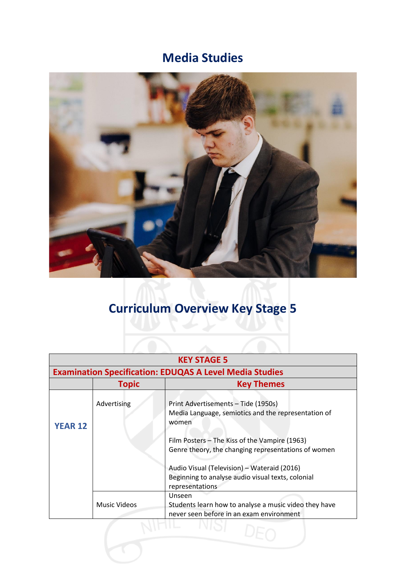## **Media Studies**



## **Curriculum Overview Key Stage 5**

| <b>KEY STAGE 5</b><br><b>Examination Specification: EDUQAS A Level Media Studies</b> |                     |                                                                                                                                                                                                                                                                                                                                    |  |
|--------------------------------------------------------------------------------------|---------------------|------------------------------------------------------------------------------------------------------------------------------------------------------------------------------------------------------------------------------------------------------------------------------------------------------------------------------------|--|
|                                                                                      |                     |                                                                                                                                                                                                                                                                                                                                    |  |
| <b>YEAR 12</b>                                                                       | Advertising         | Print Advertisements - Tide (1950s)<br>Media Language, semiotics and the representation of<br>women<br>Film Posters – The Kiss of the Vampire (1963)<br>Genre theory, the changing representations of women<br>Audio Visual (Television) - Wateraid (2016)<br>Beginning to analyse audio visual texts, colonial<br>representations |  |
|                                                                                      | <b>Music Videos</b> | Unseen<br>Students learn how to analyse a music video they have<br>never seen before in an exam environment                                                                                                                                                                                                                        |  |
|                                                                                      |                     |                                                                                                                                                                                                                                                                                                                                    |  |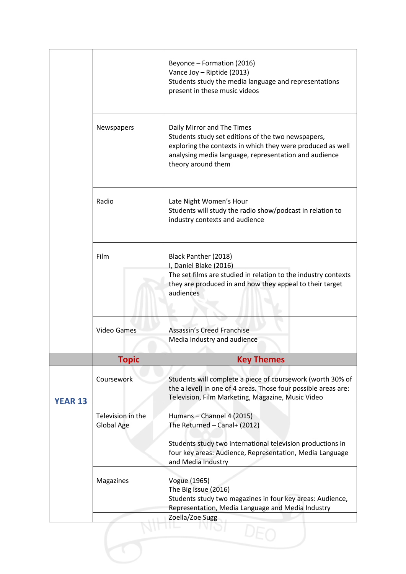| Newspapers<br>Radio             | Daily Mirror and The Times<br>Students study set editions of the two newspapers,<br>exploring the contexts in which they were produced as well<br>analysing media language, representation and audience<br>theory around them<br>Late Night Women's Hour<br>Students will study the radio show/podcast in relation to<br>industry contexts and audience<br>Black Panther (2018)<br>I, Daniel Blake (2016) |
|---------------------------------|-----------------------------------------------------------------------------------------------------------------------------------------------------------------------------------------------------------------------------------------------------------------------------------------------------------------------------------------------------------------------------------------------------------|
|                                 |                                                                                                                                                                                                                                                                                                                                                                                                           |
|                                 |                                                                                                                                                                                                                                                                                                                                                                                                           |
|                                 | The set films are studied in relation to the industry contexts<br>they are produced in and how they appeal to their target<br>audiences                                                                                                                                                                                                                                                                   |
| <b>Video Games</b>              | Assassin's Creed Franchise<br>Media Industry and audience                                                                                                                                                                                                                                                                                                                                                 |
| <b>Topic</b>                    | <b>Key Themes</b>                                                                                                                                                                                                                                                                                                                                                                                         |
| Coursework                      | Students will complete a piece of coursework (worth 30% of<br>the a level) in one of 4 areas. Those four possible areas are:<br>Television, Film Marketing, Magazine, Music Video                                                                                                                                                                                                                         |
| Television in the<br>Global Age | Humans - Channel 4 (2015)<br>The Returned - Canal+ (2012)<br>Students study two international television productions in<br>four key areas: Audience, Representation, Media Language<br>and Media Industry                                                                                                                                                                                                 |
| Magazines                       | Vogue (1965)<br>The Big Issue (2016)<br>Students study two magazines in four key areas: Audience,<br>Representation, Media Language and Media Industry<br>Zoella/Zoe Sugg                                                                                                                                                                                                                                 |
|                                 |                                                                                                                                                                                                                                                                                                                                                                                                           |